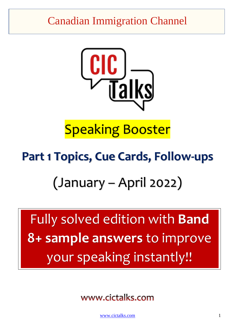## Canadian Immigration Channel



# Speaking Booster

## **Part 1 Topics, Cue Cards, Follow-ups**

# (January – April 2022)

Fully solved edition with **Band 8+ sample answers** to improve your speaking instantly!!

www.cictalks.com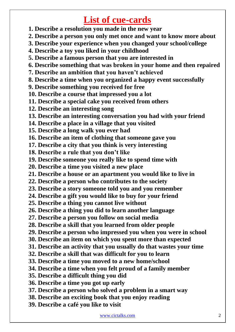## **List of cue-cards**

- **1. Describe a resolution you made in the new year**
- **2. Describe a person you only met once and want to know more about**
- **3. Describe your experience when you changed your school/college**
- **4. Describe a toy you liked in your childhood**
- **5. Describe a famous person that you are interested in**
- **6. Describe something that was broken in your home and then repaired**
- **7. Describe an ambition that you haven't achieved**
- **8. Describe a time when you organized a happy event successfully**
- **9. Describe something you received for free**
- **10. Describe a course that impressed you a lot**
- **11. Describe a special cake you received from others**
- **12. Describe an interesting song**
- **13. Describe an interesting conversation you had with your friend**
- **14. Describe a place in a village that you visited**
- **15. Describe a long walk you ever had**
- **16. Describe an item of clothing that someone gave you**
- **17. Describe a city that you think is very interesting**
- **18. Describe a rule that you don't like**
- **19. Describe someone you really like to spend time with**
- **20. Describe a time you visited a new place**
- **21. Describe a house or an apartment you would like to live in**
- **22. Describe a person who contributes to the society**
- **23. Describe a story someone told you and you remember**
- **24. Describe a gift you would like to buy for your friend**
- **25. Describe a thing you cannot live without**
- **26. Describe a thing you did to learn another language**
- **27. Describe a person you follow on social media**
- **28. Describe a skill that you learned from older people**
- **29. Describe a person who impressed you when you were in school**
- **30. Describe an item on which you spent more than expected**
- **31. Describe an activity that you usually do that wastes your time**
- **32. Describe a skill that was difficult for you to learn**
- **33. Describe a time you moved to a new home/school**
- **34. Describe a time when you felt proud of a family member**
- **35. Describe a difficult thing you did**
- **36. Describe a time you got up early**
- **37. Describe a person who solved a problem in a smart way**
- **38. Describe an exciting book that you enjoy reading**
- **39. Describe a café you like to visit**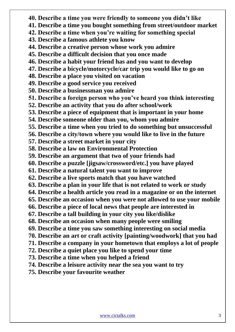- **40. Describe a time you were friendly to someone you didn't like**
- **41. Describe a time you bought something from street/outdoor market**
- **42. Describe a time when you're waiting for something special**
- **43. Describe a famous athlete you know**
- **44. Describe a creative person whose work you admire**
- **45. Describe a difficult decision that you once made**
- **46. Describe a habit your friend has and you want to develop**
- **47. Describe a bicycle/motorcycle/car trip you would like to go on**
- **48. Describe a place you visited on vacation**
- **49. Describe a good service you received**
- **50. Describe a businessman you admire**
- **51. Describe a foreign person who you've heard you think interesting**
- **52. Describe an activity that you do after school/work**
- **53. Describe a piece of equipment that is important in your home**
- **54. Describe someone older than you, whom you admire**
- **55. Describe a time when you tried to do something but unsuccessful**
- **56. Describe a city/town where you would like to live in the future**
- **57. Describe a street market in your city**
- **58. Describe a law on Environmental Protection**
- **59. Describe an argument that two of your friends had**
- **60. Describe a puzzle [jigsaw/crossword/etc.] you have played**
- **61. Describe a natural talent you want to improve**
- **62. Describe a live sports match that you have watched**
- **63. Describe a plan in your life that is not related to work or study**
- **64. Describe a health article you read in a magazine or on the internet**
- **65. Describe an occasion when you were not allowed to use your mobile**
- **66. Describe a piece of local news that people are interested in**
- **67. Describe a tall building in your city you like/dislike**
- **68. Describe an occasion when many people were smiling**
- **69. Describe a time you saw something interesting on social media**
- **70. Describe an art or craft activity [painting/woodwork] that you had**
- **71. Describe a company in your hometown that employs a lot of people**
- **72. Describe a quiet place you like to spend your time**
- **73. Describe a time when you helped a friend**
- **74. Describe a leisure activity near the sea you want to try**
- **75. Describe your favourite weather**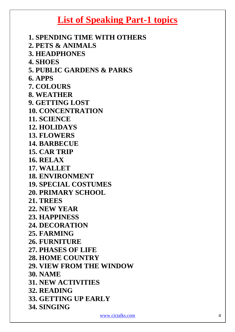## **List of Speaking Part-1 topics**

**1. SPENDING TIME WITH OTHERS 2. PETS & ANIMALS 3. HEADPHONES 4. SHOES 5. PUBLIC GARDENS & PARKS 6. APPS 7. COLOURS 8. WEATHER 9. GETTING LOST 10. CONCENTRATION 11. SCIENCE 12. HOLIDAYS 13. FLOWERS 14. BARBECUE 15. CAR TRIP 16. RELAX 17. WALLET 18. ENVIRONMENT 19. SPECIAL COSTUMES 20. PRIMARY SCHOOL 21. TREES 22. NEW YEAR 23. HAPPINESS 24. DECORATION 25. FARMING 26. FURNITURE 27. PHASES OF LIFE 28. HOME COUNTRY 29. VIEW FROM THE WINDOW 30. NAME 31. NEW ACTIVITIES 32. READING 33. GETTING UP EARLY 34. SINGING**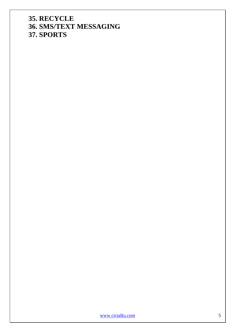**35. RECYCLE 36. SMS/TEXT MESSAGING 37. SPORTS**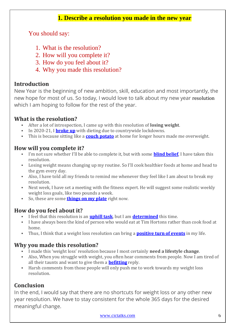#### **1. Describe a resolution you made in the new year**

You should say:

- 1. What is the resolution?
- 2. How will you complete it?
- 3. How do you feel about it?
- 4. Why you made this resolution?

#### **Introduction**

New Year is the beginning of new ambition, skill, education and most importantly, the new hope for most of us. So today, I would love to talk about my new year resolution which I am hoping to follow for the rest of the year.

#### **What is the resolution?**

- After a lot of introspection, I came up with this resolution of **losing weight**.
- In 2020-21, I **[broke](https://cictalks.com/IELTS-Speaking-Vocabulary/broke-up/) up** with dieting due to countrywide lockdowns.
- This is because sitting like a **couch [potato](https://cictalks.com/IELTS-Speaking-Vocabulary/couch-potato/)** at home for longer hours made me overweight.

#### **How will you complete it?**

- I'm not sure whether I'll be able to complete it, but with some **blind [belief](https://cictalks.com/IELTS-Speaking-Vocabulary/blind-belief/)**, I have taken this resolution.
- Losing weight means changing up my routine. So I'll cook healthier foods at home and head to the gym every day.
- Also, I have told all my friends to remind me whenever they feel like I am about to break my resolution.
- Next week, I have set a meeting with the fitness expert. He will suggest some realistic weekly weight loss goals, like two pounds a week.
- So, these are some **[things](https://cictalks.com/IELTS-Speaking-Vocabulary/things-on-my-plate/) on my plate** right now.

#### **How do you feel about it?**

- I feel that this resolution is an **[uphill](https://cictalks.com/IELTS-Speaking-Vocabulary/uphill-task/) task**, but I am **[determined](https://cictalks.com/IELTS-Speaking-Vocabulary/determined/)** this time.
- I have always been the kind of person who would eat at Tim Hortons rather than cook food at home.
- Thus, I think that a weight loss resolution can bring a **[positive](https://cictalks.com/IELTS-Speaking-Vocabulary/positive-turn-of-events/) turn of events** in my life.

#### **Why you made this resolution?**

- I made this 'weight loss' resolution because I most certainly **need a lifestyle change**.
- Also, When you struggle with weight, you often hear comments from people. Now I am tired of all their taunts and want to give them a **[befitting](https://cictalks.com/IELTS-Speaking-Vocabulary/befitting/)** reply.
- Harsh comments from those people will only push me to work towards my weight loss resolution.

#### **Conclusion**

In the end, I would say that there are no shortcuts for weight loss or any other new year resolution. We have to stay consistent for the whole 365 days for the desired meaningful change.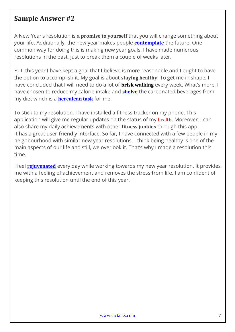#### **Sample Answer #2**

A New Year's resolution is **a promise to yourself** that you will change something about your life. Additionally, the new year makes people **[contemplate](https://cictalks.com/IELTS-Speaking-Vocabulary/contemplate/)** the future. One common way for doing this is making new year goals. I have made numerous resolutions in the past, just to break them a couple of weeks later.

But, this year I have kept a goal that I believe is more reasonable and I ought to have the option to accomplish it. My goal is about **staying healthy**. To get me in shape, I have concluded that I will need to do a lot of **brisk walking** every week. What's more, I have chosen to reduce my calorie intake and **[shelve](https://cictalks.com/IELTS-Speaking-Vocabulary/shelve/)** the carbonated beverages from my diet which is a **[herculean](https://cictalks.com/IELTS-Speaking-Vocabulary/herculean-task/) task** for me.

To stick to my resolution, I have installed a fitness tracker on my phone. This application will give me regular updates on the status of my health. Moreover, I can also share my daily achievements with other **fitness junkies** through this app. It has a great user-friendly interface. So far, I have connected with a few people in my neighbourhood with similar new year resolutions. I think being healthy is one of the main aspects of our life and still, we overlook it. That's why I made a resolution this time.

I feel **[rejuvenated](https://cictalks.com/IELTS-Speaking-Vocabulary/rejuvenated/)** every day while working towards my new year resolution. It provides me with a feeling of achievement and removes the stress from life. I am confident of keeping this resolution until the end of this year.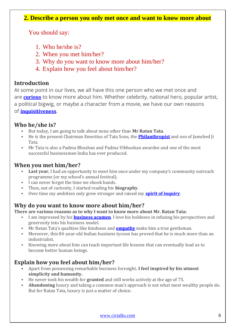#### **2. Describe a person you only met once and want to know more about**

You should say:

- 1. Who he/she is?
- 2. When you met him/her?
- 3. Why do you want to know more about him/her?
- 4. Explain how you feel about him/her?

#### **Introduction**

At some point in our lives, we all have this one person who we met once and are **[curious](https://cictalks.com/IELTS-Speaking-Vocabulary/curious/)** to know more about him. Whether celebrity, national hero, popular artist, a political bigwig, or maybe a character from a movie, we have our own reasons of **[inquisitiveness](https://cictalks.com/IELTS-Speaking-Vocabulary/inquisitiveness/)**.

#### **Who he/she is?**

- But today, I am going to talk about none other than **Mr Ratan Tata**.
- He is the present Chairman Emeritus of Tata Sons, the **[Philanthropist](https://cictalks.com/IELTS-Speaking-Vocabulary/philanthropist/)** and son of Jamshed Ji Tata.
- Mr Tata is also a Padma Bhushan and Padma Vibhushan awardee and one of the most successful businessmen India has ever produced.

#### **When you met him/her?**

- **Last vear**, I had an opportunity to meet him once under my company's community outreach programme (or my school's annual festival).
- I can never forget the time we shook hands.
- Then, out of curiosity, I started reading his **biography**.
- Over time my ambition only grew stronger and raised my **spirit of [inquiry](https://cictalks.com/IELTS-Speaking-Vocabulary/spirit-of-inquiry/)**.

#### **Why do you want to know more about him/her?**

**There are various reasons as to why I want to know more about Mr. Ratan Tata:**

- I am impressed by his **[business](https://cictalks.com/IELTS-Speaking-Vocabulary/business-acumen/) acumen**. I love his boldness in infusing his perspectives and generosity into his business model.
- Mr Ratan Tata's qualities like kindness and **[empathy](https://cictalks.com/IELTS-Speaking-Vocabulary/empathy/)** make him a true gentleman.
- **Moreover, this 84-year-old Indian business tycoon has proved that he is much more than an** industrialist.
- Knowing more about him can teach important life lessons that can eventually lead us to become better human beings.

#### **Explain how you feel about him/her?**

- Apart from possessing remarkable business foresight, **I feel inspired by his utmost simplicity and humanity.**
- He never took his wealth for **granted** and still works actively at the age of 75.
- Abandoning luxury and taking a common man's approach is not what most wealthy people do. But for Ratan Tata, luxury is just a matter of choice.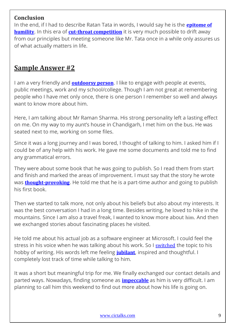#### **Conclusion**

In the end, if I had to describe Ratan Tata in words, I would say he is the **[epitome](https://cictalks.com/IELTS-Speaking-Vocabulary/epitome-of-humility/) of [humility](https://cictalks.com/IELTS-Speaking-Vocabulary/epitome-of-humility/)**. In this era of **cut-throat [competition](https://cictalks.com/IELTS-Speaking-Vocabulary/cut-throat-competition/)** it is very much possible to drift away from our principles but meeting someone like Mr. Tata once in a while only assures us of what actually matters in life.

#### **Sample Answer #2**

I am a very friendly and **[outdoorsy](https://cictalks.com/IELTS-Speaking-Vocabulary/outdoorsy-person/) person**. I like to engage with people at events, public meetings, work and my school/college. Though I am not great at remembering people who I have met only once, there is one person I remember so well and always want to know more about him.

Here, I am talking about Mr Raman Sharma. His strong personality left a lasting effect on me. On my way to my aunt's house in Chandigarh, I met him on the bus. He was seated next to me, working on some files.

Since it was a long journey and I was bored, I thought of talking to him. I asked him if I could be of any help with his work. He gave me some documents and told me to find any grammatical errors.

They were about some book that he was going to publish. So I read them from start and finish and marked the areas of improvement. I must say that the story he wrote was **[thought-provoking](https://cictalks.com/IELTS-Speaking-Vocabulary/thought-provoking/)**. He told me that he is a part-time author and going to publish his first book.

Then we started to talk more, not only about his beliefs but also about my interests. It was the best conversation I had in a long time. Besides writing, he loved to hike in the mountains. Since I am also a travel freak, I wanted to know more about him. And then we exchanged stories about fascinating places he visited.

He told me about his actual job as a software engineer at Microsoft. I could feel the stress in his voice when he was talking about his work. So I [switched](https://cictalks.com/IELTS-Speaking-Vocabulary/switched/) the topic to his hobby of writing. His words left me feeling **[jubilant](https://cictalks.com/IELTS-Speaking-Vocabulary/jubilant/)**, inspired and thoughtful. I completely lost track of time while talking to him.

It was a short but meaningful trip for me. We finally exchanged our contact details and parted ways. Nowadays, finding someone as **[impeccable](https://cictalks.com/IELTS-Speaking-Vocabulary/impeccable/)** as him is very difficult. I am planning to call him this weekend to find out more about how his life is going on.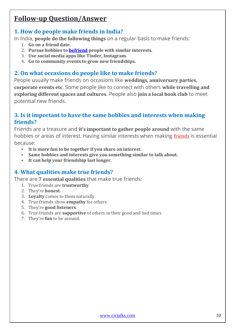### **Follow-up Question/Answer**

#### **1. How do people make friends in India?**

In India, **people do the following things** on a regular basis to make friends:

- 1. **Go on a friend date.**
- 2. **Pursue hobbies to [befriend](https://cictalks.com/IELTS-Speaking-Vocabulary/befriend/) people with similar interests.**
- 3. **Use social media apps like Tinder, Instagram.**
- 4. **Go to community events to grow new friendships.**

#### **2. On what occasions do people like to make friends?**

People usually make friends on occasions like **weddings, anniversary parties, corporate events etc**. Some people like to connect with others **while travelling and exploring different spaces and cultures**. People also **join a local book club** to meet potential new friends.

#### **3. Is it important to have the same hobbies and interests when making friends?**

Friends are a treasure and **it's important to gather people around** with the same hobbies or areas of interest. Having similar interests when making friends is essential because:

- **It is more fun to be together if you share an interest**.
- **Same hobbies and interests give you something similar to talk about.**
- **It can help your friendship last longer.**

#### **4. What qualities make true friends?**

There are **7 essential qualities** that make true friends:

- 1. True friends are **trustworthy**.
- 2. They're **honest**.
- 3. **Loyalty** comes to them naturally.
- 4. True friends show **empathy** for others.
- 5. They're **good listeners**.
- 6. True friends are **supportive** of others in their good and bad times
- 7. They're **fun** to be around.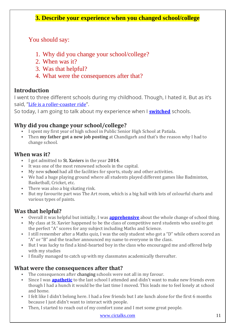#### **3. Describe your experience when you changed school/college**

You should say:

- 1. Why did you change your school/college?
- 2. When was it?
- 3. Was that helpful?
- 4. What were the consequences after that?

#### **Introduction**

I went to three different schools during my childhood. Though, I hated it. But as it's said, "Life is a [roller-coaster](https://cictalks.com/IELTS-Speaking-Vocabulary/life-is-a-roller-coaster-ride/) ride".

So today, I am going to talk about my experience when I **[switched](https://cictalks.com/IELTS-Speaking-Vocabulary/switched/)** schools.

#### **Why did you change your school/college?**

- I spent my first year of high school in Public Senior High School at Patiala.
- Then **my father got a new job posting** at Chandigarh and that's the reason why I had to change school.

#### **When was it?**

- I got admitted to St. Xaviers in the year **2014**.
- It was one of the most renowned schools in the capital.
- My new school had all the facilities for sports, study and other activities.
- We had a huge playing ground where all students played different games like Badminton, Basketball, Cricket, etc.
- There was also a big skating rink.
- But my favourite part was The Art room, which is a big hall with lots of colourful charts and various types of paints.

#### **Was that helpful?**

- Overall it was helpful but initially, I was **[apprehensive](https://cictalks.com/IELTS-Speaking-Vocabulary/apprehensive/)** about the whole change of school thing.
- My class at St. Xavier happened to be the class of competitive nerd students who used to get the perfect "A" scores for any subject including Maths and Science.
- I still remember after a Maths quiz, I was the only student who got a "D" while others scored an "A" or "B" and the teacher announced my name to everyone in the class.
- But I was lucky to find a kind-hearted boy in the class who encouraged me and offered help with my studies
- I finally managed to catch up with my classmates academically thereafter.

#### **What were the consequences after that?**

- The consequences after changing schools were not all in my favour.
- Since I was **[apathetic](https://cictalks.com/IELTS-Speaking-Vocabulary/apathetic/)** to the last school I attended and didn't want to make new friends even though I had a hunch it would be the last time I moved. This leads me to feel lonely at school and home.
- I felt like I didn't belong here. I had a few friends but I ate lunch alone for the first 6 months because I just didn't want to interact with people.
- Then, I started to reach out of my comfort zone and I met some great people.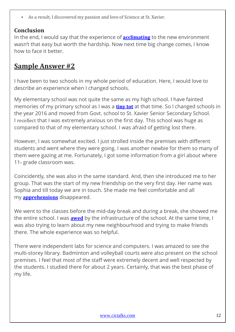As a result, I discovered my passion and love of Science at St. Xavier.

#### **Conclusion**

In the end, I would say that the experience of **[acclimating](https://cictalks.com/IELTS-Speaking-Vocabulary/acclimating/)** to the new environment wasn't that easy but worth the hardship. Now next time big change comes, I know how to face it better.

#### **Sample Answer #2**

I have been to two schools in my whole period of education. Here, I would love to describe an experience when I changed schools.

My elementary school was not quite the same as my high school. I have fainted memories of my primary school as I was a **[tiny](https://cictalks.com/IELTS-Speaking-Vocabulary/tiny-tot/) tot** at that time. So I changed schools in the year 2016 and moved from Govt. school to St. Xavier Senior Secondary School. I recollect that I was extremely anxious on the first day. This school was huge as compared to that of my elementary school. I was afraid of getting lost there.

However, I was somewhat excited. I just strolled inside the premises with different students and went where they were going. I was another newbie for them so many of them were gazing at me. Fortunately, I got some information from a girl about where 11<sup>th</sup> grade classroom was.

Coincidently, she was also in the same standard. And, then she introduced me to her group. That was the start of my new friendship on the very first day. Her name was Sophia and till today we are in touch. She made me feel comfortable and all my **[apprehensions](https://cictalks.com/IELTS-Speaking-Vocabulary/apprehension/)** disappeared.

We went to the classes before the mid-day break and during a break, she showed me the entire school. I was **[awed](https://cictalks.com/IELTS-Speaking-Vocabulary/awed/)** by the infrastructure of the school. At the same time, I was also trying to learn about my new neighbourhood and trying to make friends there. The whole experience was so helpful.

There were independent labs for science and computers. I was amazed to see the multi-storey library. Badminton and volleyball courts were also present on the school premises. I feel that most of the staff were extremely decent and well respected by the students. I studied there for about 2 years. Certainly, that was the best phase of my life.